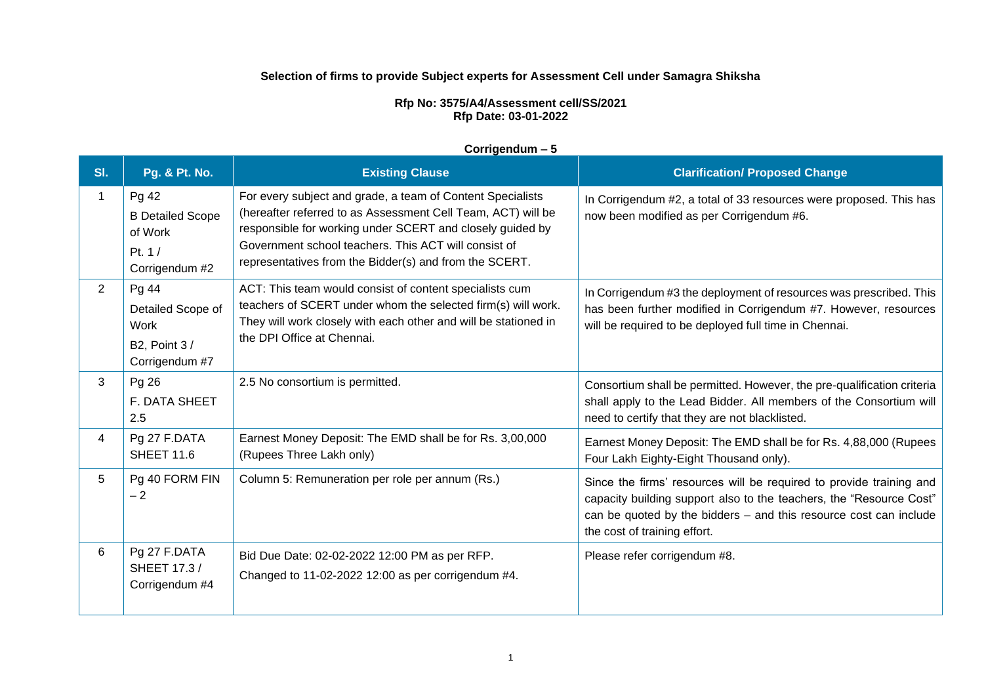### **Selection of firms to provide Subject experts for Assessment Cell under Samagra Shiksha**

#### **Rfp No: 3575/A4/Assessment cell/SS/2021 Rfp Date: 03-01-2022**

#### **Corrigendum – 5**

| SI. | <b>Pg. &amp; Pt. No.</b>                                                           | <b>Existing Clause</b>                                                                                                                                                                                                                                                                                    | <b>Clarification/ Proposed Change</b>                                                                                                                                                                                                           |
|-----|------------------------------------------------------------------------------------|-----------------------------------------------------------------------------------------------------------------------------------------------------------------------------------------------------------------------------------------------------------------------------------------------------------|-------------------------------------------------------------------------------------------------------------------------------------------------------------------------------------------------------------------------------------------------|
| 1   | Pg 42<br><b>B Detailed Scope</b><br>of Work<br>Pt. $1/$<br>Corrigendum #2          | For every subject and grade, a team of Content Specialists<br>(hereafter referred to as Assessment Cell Team, ACT) will be<br>responsible for working under SCERT and closely guided by<br>Government school teachers. This ACT will consist of<br>representatives from the Bidder(s) and from the SCERT. | In Corrigendum #2, a total of 33 resources were proposed. This has<br>now been modified as per Corrigendum #6.                                                                                                                                  |
| 2   | Pg 44<br>Detailed Scope of<br><b>Work</b><br><b>B2, Point 3/</b><br>Corrigendum #7 | ACT: This team would consist of content specialists cum<br>teachers of SCERT under whom the selected firm(s) will work.<br>They will work closely with each other and will be stationed in<br>the DPI Office at Chennai.                                                                                  | In Corrigendum #3 the deployment of resources was prescribed. This<br>has been further modified in Corrigendum #7. However, resources<br>will be required to be deployed full time in Chennai.                                                  |
| 3   | Pg 26<br><b>F. DATA SHEET</b><br>2.5                                               | 2.5 No consortium is permitted.                                                                                                                                                                                                                                                                           | Consortium shall be permitted. However, the pre-qualification criteria<br>shall apply to the Lead Bidder. All members of the Consortium will<br>need to certify that they are not blacklisted.                                                  |
| 4   | Pg 27 F.DATA<br><b>SHEET 11.6</b>                                                  | Earnest Money Deposit: The EMD shall be for Rs. 3,00,000<br>(Rupees Three Lakh only)                                                                                                                                                                                                                      | Earnest Money Deposit: The EMD shall be for Rs. 4,88,000 (Rupees<br>Four Lakh Eighty-Eight Thousand only).                                                                                                                                      |
| 5   | Pg 40 FORM FIN<br>$-2$                                                             | Column 5: Remuneration per role per annum (Rs.)                                                                                                                                                                                                                                                           | Since the firms' resources will be required to provide training and<br>capacity building support also to the teachers, the "Resource Cost"<br>can be quoted by the bidders - and this resource cost can include<br>the cost of training effort. |
| 6   | Pg 27 F.DATA<br><b>SHEET 17.3 /</b><br>Corrigendum #4                              | Bid Due Date: 02-02-2022 12:00 PM as per RFP.<br>Changed to 11-02-2022 12:00 as per corrigendum #4.                                                                                                                                                                                                       | Please refer corrigendum #8.                                                                                                                                                                                                                    |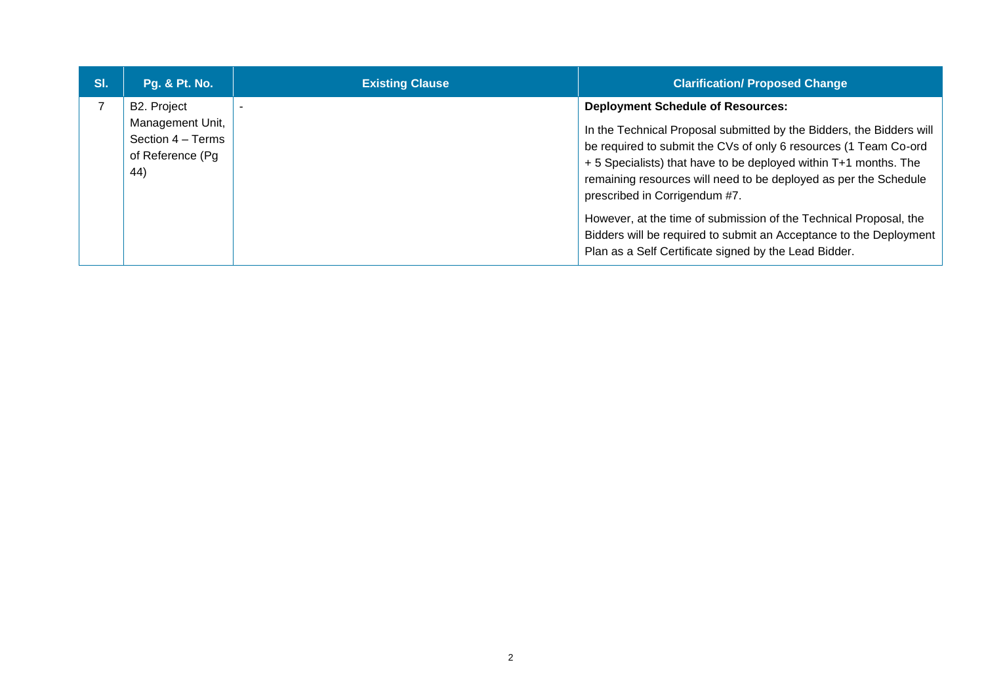| SI. | <b>Pg. &amp; Pt. No.</b>                                                        | <b>Existing Clause</b> | <b>Clarification/ Proposed Change</b>                                                                                                                                                                                                                                                                                                                                                                                                                                                                                                                             |
|-----|---------------------------------------------------------------------------------|------------------------|-------------------------------------------------------------------------------------------------------------------------------------------------------------------------------------------------------------------------------------------------------------------------------------------------------------------------------------------------------------------------------------------------------------------------------------------------------------------------------------------------------------------------------------------------------------------|
|     | B2. Project<br>Management Unit,<br>Section 4 - Terms<br>of Reference (Pg<br>44) |                        | <b>Deployment Schedule of Resources:</b><br>In the Technical Proposal submitted by the Bidders, the Bidders will<br>be required to submit the CVs of only 6 resources (1 Team Co-ord<br>+ 5 Specialists) that have to be deployed within T+1 months. The<br>remaining resources will need to be deployed as per the Schedule<br>prescribed in Corrigendum #7.<br>However, at the time of submission of the Technical Proposal, the<br>Bidders will be required to submit an Acceptance to the Deployment<br>Plan as a Self Certificate signed by the Lead Bidder. |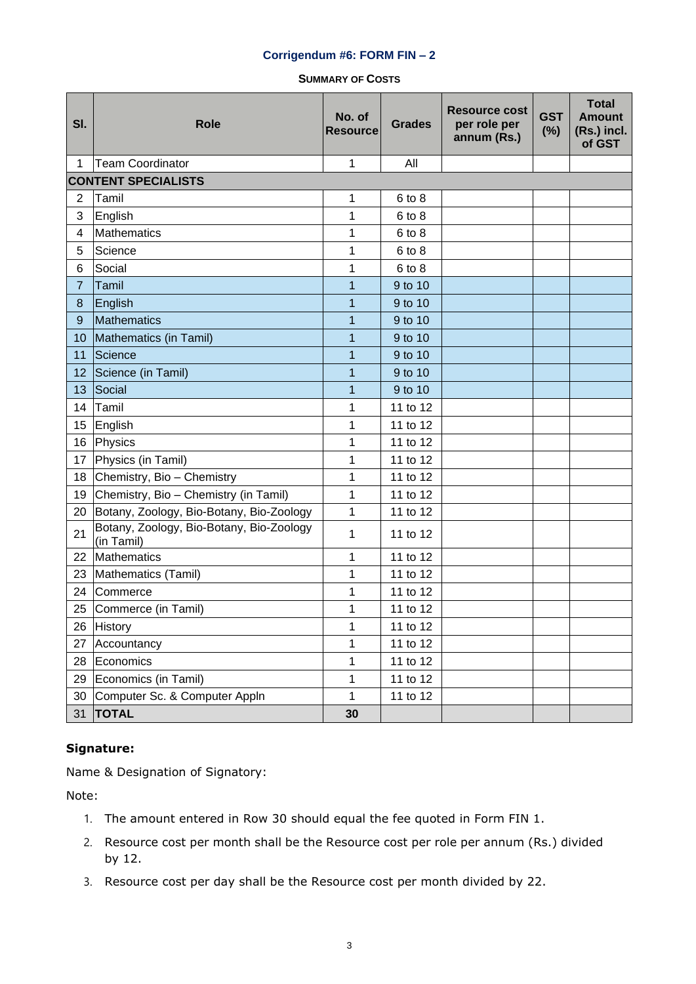### **Corrigendum #6: FORM FIN – 2**

**SUMMARY OF COSTS**

| SI.            | <b>Role</b>                                            | No. of<br><b>Resource</b> | <b>Grades</b> | <b>Resource cost</b><br>per role per<br>annum (Rs.) | <b>GST</b><br>(%) | <b>Total</b><br><b>Amount</b><br>(Rs.) incl.<br>of GST |
|----------------|--------------------------------------------------------|---------------------------|---------------|-----------------------------------------------------|-------------------|--------------------------------------------------------|
| 1              | <b>Team Coordinator</b>                                | 1                         | All           |                                                     |                   |                                                        |
|                | <b>CONTENT SPECIALISTS</b>                             |                           |               |                                                     |                   |                                                        |
| $\mathbf{2}$   | Tamil                                                  | 1                         | 6 to 8        |                                                     |                   |                                                        |
| 3              | English                                                | 1                         | 6 to 8        |                                                     |                   |                                                        |
| 4              | <b>Mathematics</b>                                     | 1                         | 6 to 8        |                                                     |                   |                                                        |
| 5              | Science                                                | 1                         | 6 to 8        |                                                     |                   |                                                        |
| 6              | Social                                                 | 1                         | 6 to 8        |                                                     |                   |                                                        |
| $\overline{7}$ | Tamil                                                  | 1                         | 9 to 10       |                                                     |                   |                                                        |
| 8              | English                                                | 1                         | 9 to 10       |                                                     |                   |                                                        |
| 9              | Mathematics                                            | 1                         | 9 to 10       |                                                     |                   |                                                        |
| 10             | Mathematics (in Tamil)                                 | 1                         | 9 to 10       |                                                     |                   |                                                        |
| 11             | Science                                                | 1                         | 9 to 10       |                                                     |                   |                                                        |
| 12             | Science (in Tamil)                                     | 1                         | 9 to 10       |                                                     |                   |                                                        |
| 13             | Social                                                 | 1                         | 9 to 10       |                                                     |                   |                                                        |
| 14             | Tamil                                                  | 1                         | 11 to 12      |                                                     |                   |                                                        |
| 15             | English                                                | 1                         | 11 to 12      |                                                     |                   |                                                        |
| 16             | Physics                                                | 1                         | 11 to 12      |                                                     |                   |                                                        |
| 17             | Physics (in Tamil)                                     | 1                         | 11 to 12      |                                                     |                   |                                                        |
| 18             | Chemistry, Bio - Chemistry                             | 1                         | 11 to 12      |                                                     |                   |                                                        |
| 19             | Chemistry, Bio - Chemistry (in Tamil)                  | 1                         | 11 to 12      |                                                     |                   |                                                        |
| 20             | Botany, Zoology, Bio-Botany, Bio-Zoology               | 1                         | 11 to 12      |                                                     |                   |                                                        |
| 21             | Botany, Zoology, Bio-Botany, Bio-Zoology<br>(in Tamil) | 1                         | 11 to 12      |                                                     |                   |                                                        |
| 22             | Mathematics                                            | 1                         | 11 to 12      |                                                     |                   |                                                        |
| 23             | Mathematics (Tamil)                                    | 1                         | 11 to 12      |                                                     |                   |                                                        |
| 24             | Commerce                                               | 1                         | 11 to 12      |                                                     |                   |                                                        |
| 25             | Commerce (in Tamil)                                    | 1                         | 11 to 12      |                                                     |                   |                                                        |
| 26             | History                                                | 1                         | 11 to 12      |                                                     |                   |                                                        |
| 27             | Accountancy                                            | 1                         | 11 to 12      |                                                     |                   |                                                        |
| 28             | Economics                                              | 1                         | 11 to 12      |                                                     |                   |                                                        |
| 29             | Economics (in Tamil)                                   | 1                         | 11 to 12      |                                                     |                   |                                                        |
| 30             | Computer Sc. & Computer Appln                          | 1                         | 11 to 12      |                                                     |                   |                                                        |
| 31             | <b>TOTAL</b>                                           | 30                        |               |                                                     |                   |                                                        |

## **Signature:**

Name & Designation of Signatory:

Note:

- 1. The amount entered in Row 30 should equal the fee quoted in Form FIN 1.
- 2. Resource cost per month shall be the Resource cost per role per annum (Rs.) divided by 12.
- 3. Resource cost per day shall be the Resource cost per month divided by 22.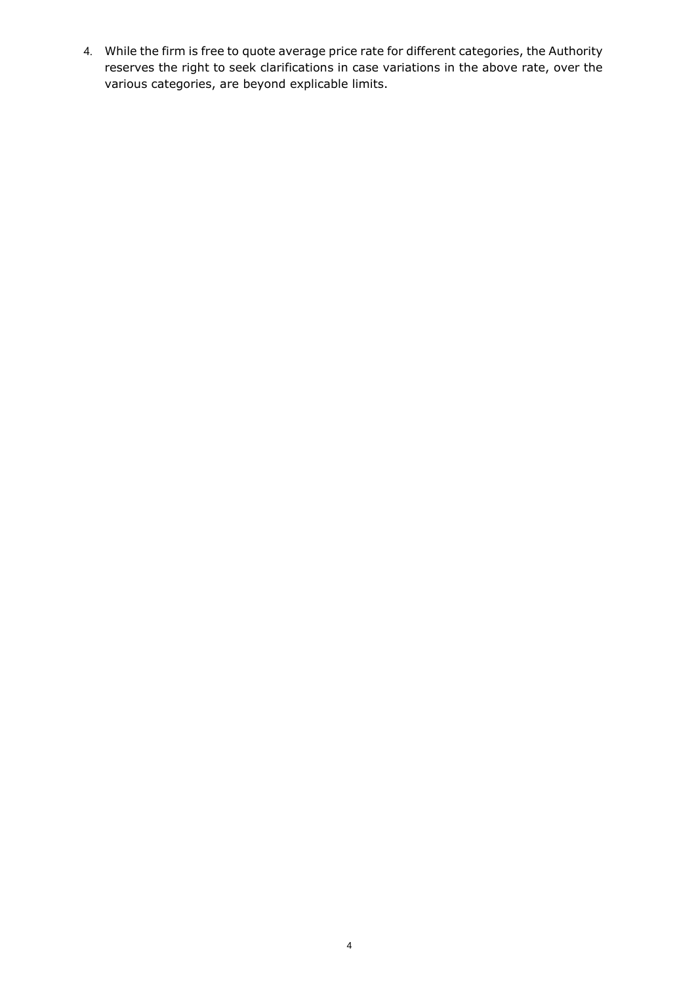4. While the firm is free to quote average price rate for different categories, the Authority reserves the right to seek clarifications in case variations in the above rate, over the various categories, are beyond explicable limits.